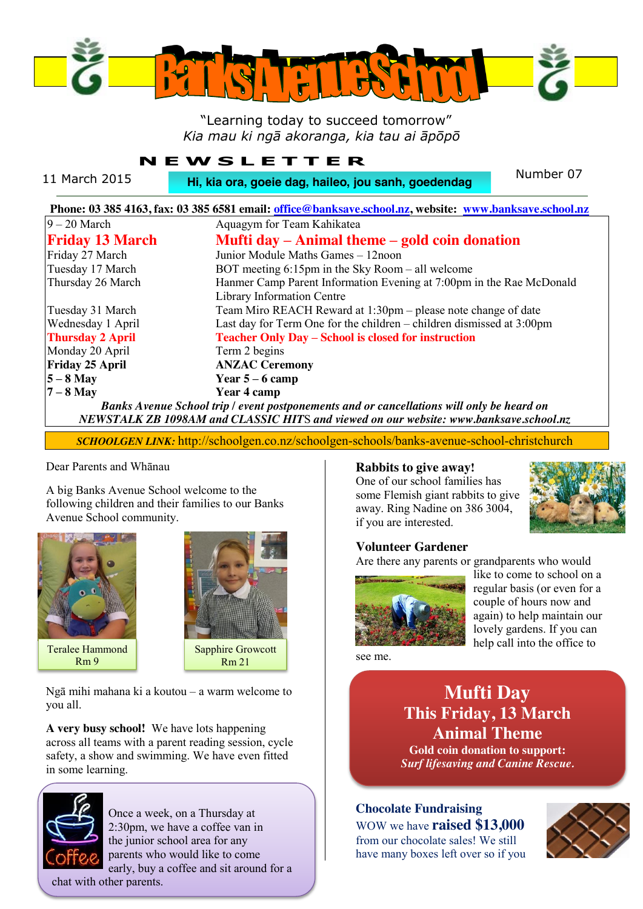

# "Learning today to succeed tomorrow" *Kia mau ki ngā akoranga, kia tau ai āpōpō*

# **NEWSLETTER**

11 March 2015 **Number 07 Hi, kia ora, goeie dag, haileo, jou sanh, goedendag** Number 07

| Phone: 03 385 4163, fax: 03 385 6581 email: office@banksave.school.nz, website: www.banksave.school.nz |                                                                         |
|--------------------------------------------------------------------------------------------------------|-------------------------------------------------------------------------|
| $9 - 20$ March                                                                                         | Aquagym for Team Kahikatea                                              |
| <b>Friday 13 March</b>                                                                                 | Mufti day – Animal theme – gold coin donation                           |
| Friday 27 March                                                                                        | Junior Module Maths Games - 12noon                                      |
| Tuesday 17 March                                                                                       | BOT meeting $6:15$ pm in the Sky Room – all welcome                     |
| Thursday 26 March                                                                                      | Hanmer Camp Parent Information Evening at 7:00pm in the Rae McDonald    |
|                                                                                                        | Library Information Centre                                              |
| Tuesday 31 March                                                                                       | Team Miro REACH Reward at 1:30pm – please note change of date           |
| Wednesday 1 April                                                                                      | Last day for Term One for the children $-$ children dismissed at 3:00pm |
| <b>Thursday 2 April</b>                                                                                | <b>Teacher Only Day - School is closed for instruction</b>              |
| Monday 20 April                                                                                        | Term 2 begins                                                           |
| <b>Friday 25 April</b>                                                                                 | <b>ANZAC Ceremony</b>                                                   |
| $5 - 8$ May                                                                                            | Year $5-6$ camp                                                         |
| $7 - 8$ May                                                                                            | Year 4 camp                                                             |
| Banks Avenue School trip / event postponements and or cancellations will only be heard on              |                                                                         |
| NEWSTALK ZB 1098AM and CLASSIC HITS and viewed on our website: www.banksave.school.nz                  |                                                                         |

*SCHOOLGEN LINK:* http://schoolgen.co.nz/schoolgen-schools/banks-avenue-school-christchurch

#### Dear Parents and Whānau

A big Banks Avenue School welcome to the following children and their families to our Banks Avenue School community.



Teralee Hammond Rm 9



Ngā mihi mahana ki a koutou – a warm welcome to you all.

**A very busy school!** We have lots happening across all teams with a parent reading session, cycle safety, a show and swimming. We have even fitted in some learning.



 Once a week, on a Thursday at 2:30pm, we have a coffee van in the junior school area for any parents who would like to come early, buy a coffee and sit around for a chat with other parents.

#### **Rabbits to give away!** One of our school families has some Flemish giant rabbits to give away. Ring Nadine on 386 3004,



## **Volunteer Gardener**

if you are interested.

Are there any parents or grandparents who would



like to come to school on a regular basis (or even for a couple of hours now and again) to help maintain our lovely gardens. If you can help call into the office to

see me.

**Mufti Day This Friday, 13 March Animal Theme Gold coin donation to support:** *Surf lifesaving and Canine Rescue.*

# **Chocolate Fundraising** WOW we have **raised \$13,000**

from our chocolate sales! We still have many boxes left over so if you